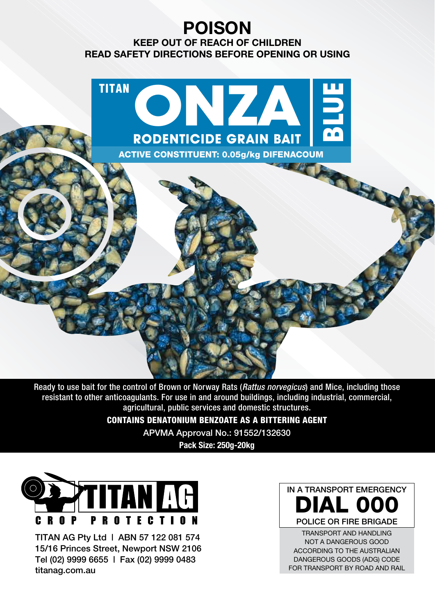# **POISON**

**KEEP OUT OF REACH OF CHILDREN READ SAFETY DIRECTIONS BEFORE OPENING OR USING**



Ready to use bait for the control of Brown or Norway Rats (Rattus norvegicus) and Mice, including those resistant to other anticoagulants. For use in and around buildings, including industrial, commercial, agricultural, public services and domestic structures.

CONTAINS DENATONIUM BENZOATE AS A BITTERING AGENT

APVMA Approval No.: 91552/132630

**Pack Size: 250g-20kg**



TITAN AG Pty Ltd | ABN 57 122 081 574 15/16 Princes Street, Newport NSW 2106 Tel (02) 9999 6655 | Fax (02) 9999 0483 titanag.com.au

IN A TRANSPORT EMERGENCY DIAL 000 POLICE OR FIRE BRIGADE

TRANSPORT AND HANDLING NOT A DANGEROUS GOOD ACCORDING TO THE AUSTRALIAN DANGEROUS GOODS (ADG) CODE FOR TRANSPORT BY ROAD AND RAIL